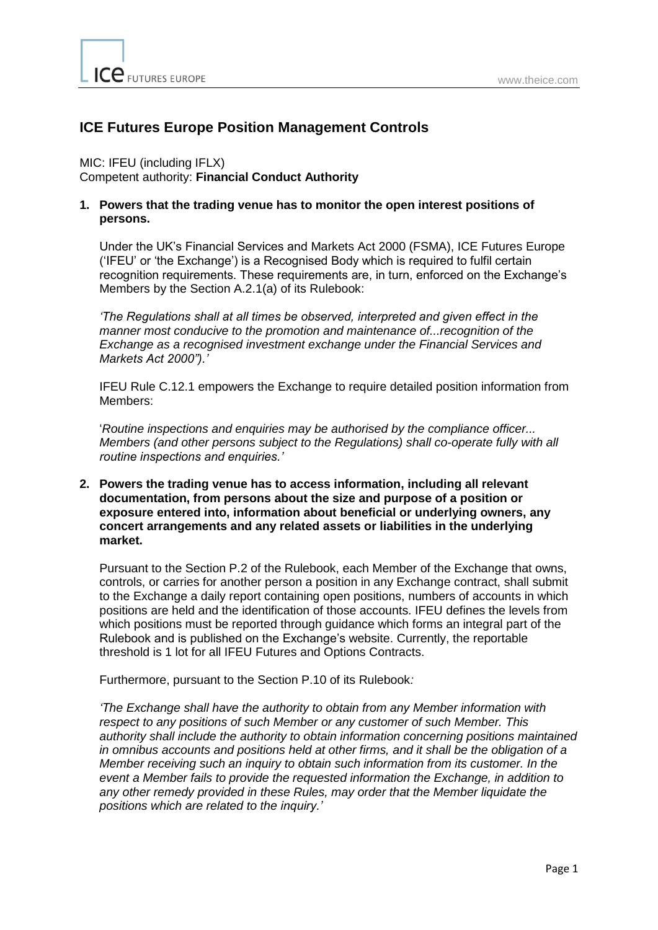ICE FUTURES EUROPE

# **ICE Futures Europe Position Management Controls**

# MIC: IFEU (including IFLX)

Competent authority: **Financial Conduct Authority** 

# **1. Powers that the trading venue has to monitor the open interest positions of persons.**

Under the UK's Financial Services and Markets Act 2000 (FSMA), ICE Futures Europe ('IFEU' or 'the Exchange') is a Recognised Body which is required to fulfil certain recognition requirements. These requirements are, in turn, enforced on the Exchange's Members by the Section A.2.1(a) of its Rulebook:

*'The Regulations shall at all times be observed, interpreted and given effect in the manner most conducive to the promotion and maintenance of...recognition of the Exchange as a recognised investment exchange under the Financial Services and Markets Act 2000").'* 

IFEU Rule C.12.1 empowers the Exchange to require detailed position information from Members:

'*Routine inspections and enquiries may be authorised by the compliance officer... Members (and other persons subject to the Regulations) shall co-operate fully with all routine inspections and enquiries.'* 

# **2. Powers the trading venue has to access information, including all relevant documentation, from persons about the size and purpose of a position or exposure entered into, information about beneficial or underlying owners, any concert arrangements and any related assets or liabilities in the underlying market.**

Pursuant to the Section P.2 of the Rulebook, each Member of the Exchange that owns, controls, or carries for another person a position in any Exchange contract, shall submit to the Exchange a daily report containing open positions, numbers of accounts in which positions are held and the identification of those accounts. IFEU defines the levels from which positions must be reported through guidance which forms an integral part of the Rulebook and is published on the Exchange's website. Currently, the reportable threshold is 1 lot for all IFEU Futures and Options Contracts.

Furthermore, pursuant to the Section P.10 of its Rulebook*:* 

*'The Exchange shall have the authority to obtain from any Member information with respect to any positions of such Member or any customer of such Member. This authority shall include the authority to obtain information concerning positions maintained in omnibus accounts and positions held at other firms, and it shall be the obligation of a Member receiving such an inquiry to obtain such information from its customer. In the event a Member fails to provide the requested information the Exchange, in addition to any other remedy provided in these Rules, may order that the Member liquidate the positions which are related to the inquiry.'*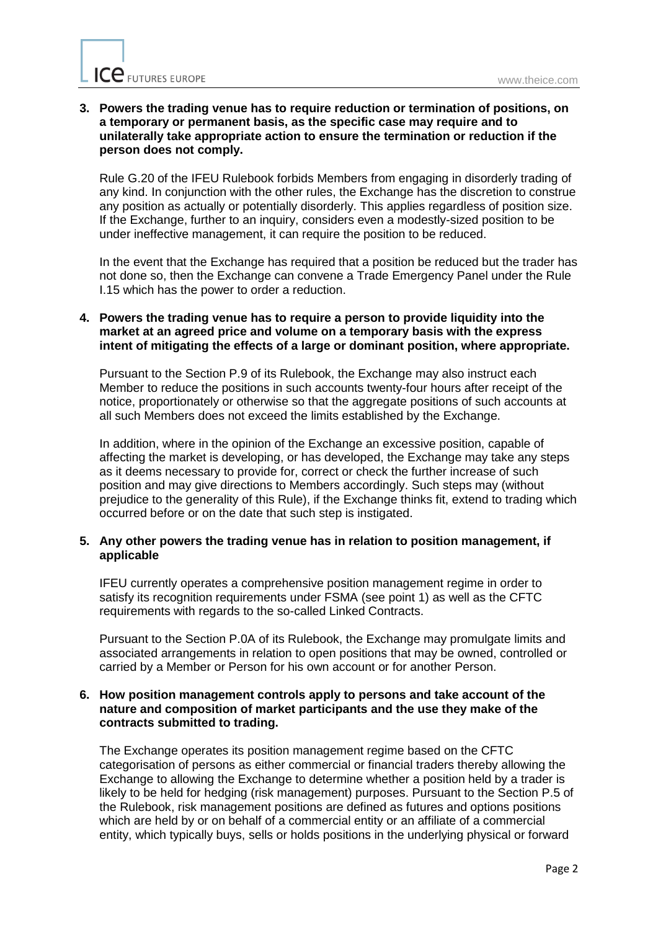# **3. Powers the trading venue has to require reduction or termination of positions, on a temporary or permanent basis, as the specific case may require and to unilaterally take appropriate action to ensure the termination or reduction if the person does not comply.**

Rule G.20 of the IFEU Rulebook forbids Members from engaging in disorderly trading of any kind. In conjunction with the other rules, the Exchange has the discretion to construe any position as actually or potentially disorderly. This applies regardless of position size. If the Exchange, further to an inquiry, considers even a modestly-sized position to be under ineffective management, it can require the position to be reduced.

In the event that the Exchange has required that a position be reduced but the trader has not done so, then the Exchange can convene a Trade Emergency Panel under the Rule I.15 which has the power to order a reduction.

# **4. Powers the trading venue has to require a person to provide liquidity into the market at an agreed price and volume on a temporary basis with the express intent of mitigating the effects of a large or dominant position, where appropriate.**

Pursuant to the Section P.9 of its Rulebook, the Exchange may also instruct each Member to reduce the positions in such accounts twenty-four hours after receipt of the notice, proportionately or otherwise so that the aggregate positions of such accounts at all such Members does not exceed the limits established by the Exchange.

In addition, where in the opinion of the Exchange an excessive position, capable of affecting the market is developing, or has developed, the Exchange may take any steps as it deems necessary to provide for, correct or check the further increase of such position and may give directions to Members accordingly. Such steps may (without prejudice to the generality of this Rule), if the Exchange thinks fit, extend to trading which occurred before or on the date that such step is instigated.

# **5. Any other powers the trading venue has in relation to position management, if applicable**

IFEU currently operates a comprehensive position management regime in order to satisfy its recognition requirements under FSMA (see point 1) as well as the CFTC requirements with regards to the so-called Linked Contracts.

Pursuant to the Section P.0A of its Rulebook, the Exchange may promulgate limits and associated arrangements in relation to open positions that may be owned, controlled or carried by a Member or Person for his own account or for another Person.

### **6. How position management controls apply to persons and take account of the nature and composition of market participants and the use they make of the contracts submitted to trading.**

The Exchange operates its position management regime based on the CFTC categorisation of persons as either commercial or financial traders thereby allowing the Exchange to allowing the Exchange to determine whether a position held by a trader is likely to be held for hedging (risk management) purposes. Pursuant to the Section P.5 of the Rulebook, risk management positions are defined as futures and options positions which are held by or on behalf of a commercial entity or an affiliate of a commercial entity, which typically buys, sells or holds positions in the underlying physical or forward